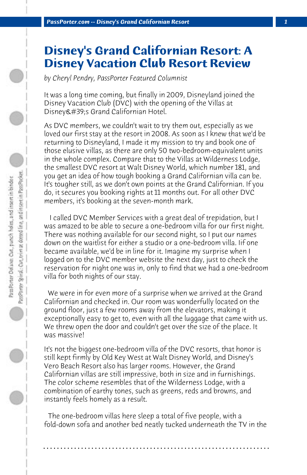## **Disney's Grand Californian Resort: A Disney Vacation Club Resort Review**

*by Cheryl Pendry, PassPorter Featured Columnist*

It was a long time coming, but finally in 2009, Disneyland joined the Disney Vacation Club (DVC) with the opening of the Villas at Disney's Grand Californian Hotel.

As DVC members, we couldn't wait to try them out, especially as we loved our first stay at the resort in 2008. As soon as I knew that we'd be returning to Disneyland, I made it my mission to try and book one of those elusive villas, as there are only 50 two-bedroom-equivalent units in the whole complex. Compare that to the Villas at Wilderness Lodge, the smallest DVC resort at Walt Disney World, which number 181, and you get an idea of how tough booking a Grand Californian villa can be. It's tougher still, as we don't own points at the Grand Californian. If you do, it secures you booking rights at 11 months out. For all other DVC members, it's booking at the seven-month mark.

 I called DVC Member Services with a great deal of trepidation, but I was amazed to be able to secure a one-bedroom villa for our first night. There was nothing available for our second night, so I put our names down on the waitlist for either a studio or a one-bedroom villa. Iif one became available, we'd be in line for it. Imagine my surprise when I logged on to the DVC member website the next day, just to check the reservation for night one was in, only to find that we had a one-bedroom villa for both nights of our stay.

 We were in for even more of a surprise when we arrived at the Grand Californian and checked in. Our room was wonderfully located on the ground floor, just a few rooms away from the elevators, making it exceptionally easy to get to, even with all the luggage that came with us. We threw open the door and couldn't get over the size of the place. It was massive!

It's not the biggest one-bedroom villa of the DVC resorts, that honor is still kept firmly by Old Key West at Walt Disney World, and Disney's Vero Beach Resort also has larger rooms. However, the Grand Californian villas are still impressive, both in size and in furnishings. The color scheme resembles that of the Wilderness Lodge, with a combination of earthy tones, such as greens, reds and browns, and instantly feels homely as a result.

 The one-bedroom villas here sleep a total of five people, with a fold-down sofa and another bed neatly tucked underneath the TV in the

**. . . . . . . . . . . . . . . . . . . . . . . . . . . . . . . . . . . . . . . . . . . . . . . . . . . . . . . . . . . . . . . . . .**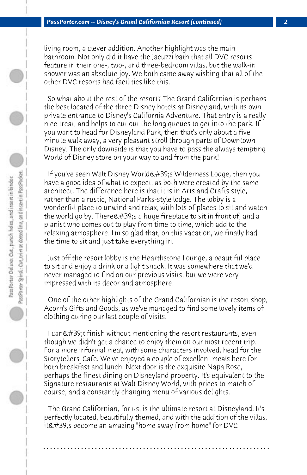living room, a clever addition. Another highlight was the main bathroom. Not only did it have the Jacuzzi bath that all DVC resorts feature in their one-, two-, and three-bedroom villas, but the walk-in shower was an absolute joy. We both came away wishing that all of the other DVC resorts had facilities like this.

 So what about the rest of the resort? The Grand Californian is perhaps the best located of the three Disney hotels at Disneyland, with its own private entrance to Disney's California Adventure. That entry is a really nice treat, and helps to cut out the long queues to get into the park. If you want to head for Disneyland Park, then that's only about a five minute walk away, a very pleasant stroll through parts of Downtown Disney. The only downside is that you have to pass the always tempting World of Disney store on your way to and from the park!

If you've seen Walt Disney World&#39:s Wilderness Lodge, then you have a good idea of what to expect, as both were created by the same architect. The difference here is that it is in Arts and Crafts style, rather than a rustic, National Parks-style lodge. The lobby is a wonderful place to unwind and relax, with lots of places to sit and watch the world go by. There  $\#39$ ; s a huge fireplace to sit in front of, and a pianist who comes out to play from time to time, which add to the relaxing atmosphere. I'm so glad that, on this vacation, we finally had the time to sit and just take everything in.

 Just off the resort lobby is the Hearthstone Lounge, a beautiful place to sit and enjoy a drink or a light snack. It was somewhere that we'd never managed to find on our previous visits, but we were very impressed with its decor and atmosphere.

 One of the other highlights of the Grand Californian is the resort shop, Acorn's Gifts and Goods, as we've managed to find some lovely items of clothing during our last couple of visits.

I can't finish without mentioning the resort restaurants, even though we didn't get a chance to enjoy them on our most recent trip. For a more informal meal, with some characters involved, head for the Storytellers' Cafe. We've enjoyed a couple of excellent meals here for both breakfast and lunch. Next door is the exquisite Napa Rose, perhaps the finest dining on Disneyland property. It's equivalent to the Signature restaurants at Walt Disney World, with prices to match of course, and a constantly changing menu of various delights.

 The Grand Californian, for us, is the ultimate resort at Disneyland. It's perfectly located, beautifully themed, and with the addition of the villas, it's become an amazing "home away from home" for DVC

**. . . . . . . . . . . . . . . . . . . . . . . . . . . . . . . . . . . . . . . . . . . . . . . . . . . . . . . . . . . . . . . . . .**